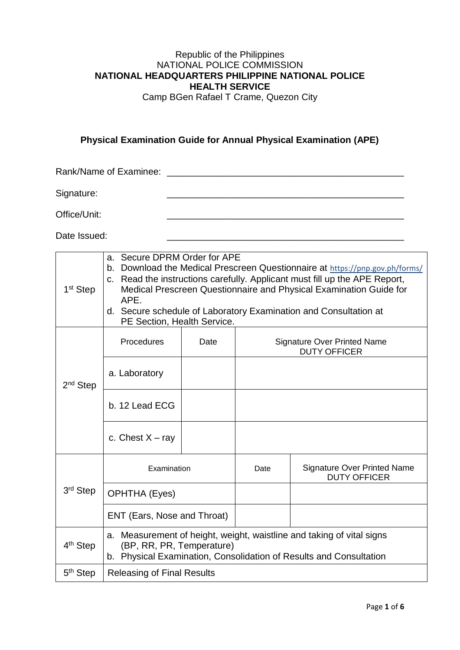## Republic of the Philippines NATIONAL POLICE COMMISSION **NATIONAL HEADQUARTERS PHILIPPINE NATIONAL POLICE HEALTH SERVICE**

Camp BGen Rafael T Crame, Quezon City

### **Physical Examination Guide for Annual Physical Examination (APE)**

Rank/Name of Examinee: \_\_\_\_\_\_\_\_\_\_\_\_\_\_\_\_\_\_\_\_\_\_\_\_\_\_\_\_\_\_\_\_\_\_\_\_\_\_\_\_\_\_\_\_\_\_

Signature: \_\_\_\_\_\_\_\_\_\_\_\_\_\_\_\_\_\_\_\_\_\_\_\_\_\_\_\_\_\_\_\_\_\_\_\_\_\_\_\_\_\_\_\_\_\_

Office/Unit:

Date Issued:

| 1 <sup>st</sup> Step | a. Secure DPRM Order for APE<br>Download the Medical Prescreen Questionnaire at https://pnp.gov.ph/forms/<br>b.<br>c. Read the instructions carefully. Applicant must fill up the APE Report,<br>Medical Prescreen Questionnaire and Physical Examination Guide for<br>APE.<br>d. Secure schedule of Laboratory Examination and Consultation at<br>PE Section, Health Service. |      |                                                           |                                                                                                                                             |  |  |  |  |  |  |
|----------------------|--------------------------------------------------------------------------------------------------------------------------------------------------------------------------------------------------------------------------------------------------------------------------------------------------------------------------------------------------------------------------------|------|-----------------------------------------------------------|---------------------------------------------------------------------------------------------------------------------------------------------|--|--|--|--|--|--|
|                      | Procedures                                                                                                                                                                                                                                                                                                                                                                     | Date | <b>Signature Over Printed Name</b><br><b>DUTY OFFICER</b> |                                                                                                                                             |  |  |  |  |  |  |
| 2 <sup>nd</sup> Step | a. Laboratory                                                                                                                                                                                                                                                                                                                                                                  |      |                                                           |                                                                                                                                             |  |  |  |  |  |  |
|                      | b. 12 Lead ECG                                                                                                                                                                                                                                                                                                                                                                 |      |                                                           |                                                                                                                                             |  |  |  |  |  |  |
|                      | c. Chest $X - ray$                                                                                                                                                                                                                                                                                                                                                             |      |                                                           |                                                                                                                                             |  |  |  |  |  |  |
|                      | Examination                                                                                                                                                                                                                                                                                                                                                                    |      | Date                                                      | <b>Signature Over Printed Name</b><br><b>DUTY OFFICER</b>                                                                                   |  |  |  |  |  |  |
| 3 <sup>rd</sup> Step | <b>OPHTHA (Eyes)</b>                                                                                                                                                                                                                                                                                                                                                           |      |                                                           |                                                                                                                                             |  |  |  |  |  |  |
|                      | ENT (Ears, Nose and Throat)                                                                                                                                                                                                                                                                                                                                                    |      |                                                           |                                                                                                                                             |  |  |  |  |  |  |
| 4 <sup>th</sup> Step | (BP, RR, PR, Temperature)                                                                                                                                                                                                                                                                                                                                                      |      |                                                           | a. Measurement of height, weight, waistline and taking of vital signs<br>b. Physical Examination, Consolidation of Results and Consultation |  |  |  |  |  |  |
| $5th$ Step           | <b>Releasing of Final Results</b>                                                                                                                                                                                                                                                                                                                                              |      |                                                           |                                                                                                                                             |  |  |  |  |  |  |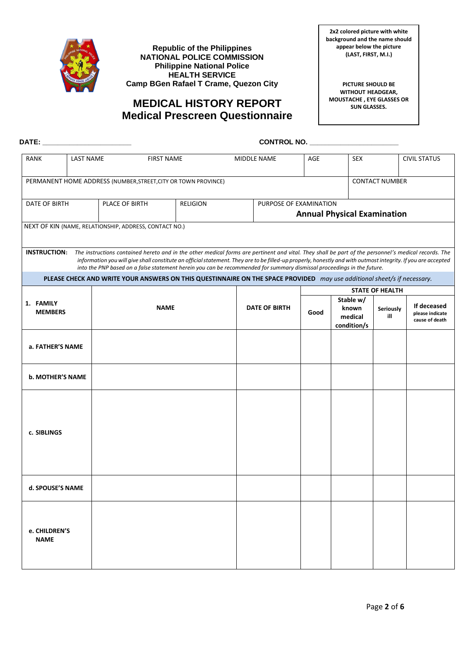

**Republic of the Philippines NATIONAL POLICE COMMISSION Philippine National Police HEALTH SERVICE Camp BGen Rafael T Crame, Quezon City**

**2x2 colored picture with white background and the name should appear below the picture (LAST, FIRST, M.I.)**

## **MEDICAL HISTORY REPORT Medical Prescreen Questionnaire**

**PICTURE SHOULD BE WITHOUT HEADGEAR, MOUSTACHE , EYE GLASSES OR SUN GLASSES.**

| DATE: ________________________ |                  |                |                                                        |                                                                                                                                                                                                                                                                                                                                                                                                                                                              |                                                              |                      |      |                                              |                        |                                                  |  |
|--------------------------------|------------------|----------------|--------------------------------------------------------|--------------------------------------------------------------------------------------------------------------------------------------------------------------------------------------------------------------------------------------------------------------------------------------------------------------------------------------------------------------------------------------------------------------------------------------------------------------|--------------------------------------------------------------|----------------------|------|----------------------------------------------|------------------------|--------------------------------------------------|--|
| RANK                           | <b>LAST NAME</b> |                | <b>FIRST NAME</b>                                      |                                                                                                                                                                                                                                                                                                                                                                                                                                                              |                                                              | AGE<br>MIDDLE NAME   |      | <b>SEX</b>                                   |                        | <b>CIVIL STATUS</b>                              |  |
|                                |                  |                |                                                        | PERMANENT HOME ADDRESS (NUMBER, STREET, CITY OR TOWN PROVINCE)                                                                                                                                                                                                                                                                                                                                                                                               |                                                              |                      |      |                                              | <b>CONTACT NUMBER</b>  |                                                  |  |
| DATE OF BIRTH                  |                  | PLACE OF BIRTH |                                                        | <b>RELIGION</b>                                                                                                                                                                                                                                                                                                                                                                                                                                              | PURPOSE OF EXAMINATION<br><b>Annual Physical Examination</b> |                      |      |                                              |                        |                                                  |  |
|                                |                  |                | NEXT OF KIN (NAME, RELATIONSHIP, ADDRESS, CONTACT NO.) |                                                                                                                                                                                                                                                                                                                                                                                                                                                              |                                                              |                      |      |                                              |                        |                                                  |  |
|                                |                  |                |                                                        | INSTRUCTION: The instructions contained hereto and in the other medical forms are pertinent and vital. They shall be part of the personnel's medical records. The<br>information you will give shall constitute an official statement. They are to be filled-up properly, honestly and with outmost integrity. If you are accepted<br>into the PNP based on a false statement herein you can be recommended for summary dismissal proceedings in the future. |                                                              |                      |      |                                              |                        |                                                  |  |
|                                |                  |                |                                                        | PLEASE CHECK AND WRITE YOUR ANSWERS ON THIS QUESTINNAIRE ON THE SPACE PROVIDED may use additional sheet/s if necessary.                                                                                                                                                                                                                                                                                                                                      |                                                              |                      |      |                                              |                        |                                                  |  |
|                                |                  |                |                                                        |                                                                                                                                                                                                                                                                                                                                                                                                                                                              |                                                              |                      |      |                                              | <b>STATE OF HEALTH</b> |                                                  |  |
| 1. FAMILY<br><b>MEMBERS</b>    |                  |                | <b>NAME</b>                                            |                                                                                                                                                                                                                                                                                                                                                                                                                                                              |                                                              | <b>DATE OF BIRTH</b> | Good | Stable w/<br>known<br>medical<br>condition/s | Seriously<br>ill       | If deceased<br>please indicate<br>cause of death |  |
| a. FATHER'S NAME               |                  |                |                                                        |                                                                                                                                                                                                                                                                                                                                                                                                                                                              |                                                              |                      |      |                                              |                        |                                                  |  |
| <b>b. MOTHER'S NAME</b>        |                  |                |                                                        |                                                                                                                                                                                                                                                                                                                                                                                                                                                              |                                                              |                      |      |                                              |                        |                                                  |  |
| c. SIBLINGS                    |                  |                |                                                        |                                                                                                                                                                                                                                                                                                                                                                                                                                                              |                                                              |                      |      |                                              |                        |                                                  |  |
| d. SPOUSE'S NAME               |                  |                |                                                        |                                                                                                                                                                                                                                                                                                                                                                                                                                                              |                                                              |                      |      |                                              |                        |                                                  |  |
| e. CHILDREN'S<br><b>NAME</b>   |                  |                |                                                        |                                                                                                                                                                                                                                                                                                                                                                                                                                                              |                                                              |                      |      |                                              |                        |                                                  |  |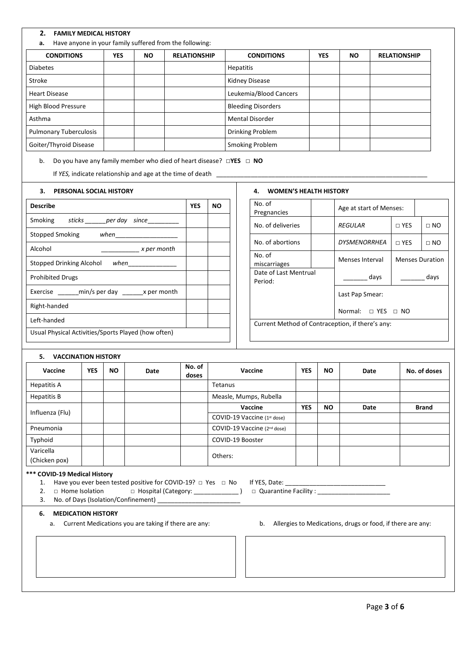#### **2. FAMILY MEDICAL HISTORY**

**a.** Have anyone in your family suffered from the following:

| <b>CONDITIONS</b>             | <b>YES</b> | <b>NO</b> | <b>RELATIONSHIP</b> | <b>CONDITIONS</b>         | <b>YES</b> | NO. | <b>RELATIONSHIP</b> |
|-------------------------------|------------|-----------|---------------------|---------------------------|------------|-----|---------------------|
| <b>Diabetes</b>               |            |           |                     | Hepatitis                 |            |     |                     |
| Stroke                        |            |           |                     | Kidney Disease            |            |     |                     |
| <b>Heart Disease</b>          |            |           |                     | Leukemia/Blood Cancers    |            |     |                     |
| High Blood Pressure           |            |           |                     | <b>Bleeding Disorders</b> |            |     |                     |
| Asthma                        |            |           |                     | <b>Mental Disorder</b>    |            |     |                     |
| <b>Pulmonary Tuberculosis</b> |            |           |                     | Drinking Problem          |            |     |                     |
| Goiter/Thyroid Disease        |            |           |                     | <b>Smoking Problem</b>    |            |     |                     |

b. Do you have any family member who died of heart disease? **□YES □ NO** 

If *YES*, indicate relationship and age at the time of death \_

#### **3. PERSONAL SOCIAL HISTORY**

| <b>Describe</b>                                     | <b>YES</b> | NΟ |  |  |  |  |  |  |
|-----------------------------------------------------|------------|----|--|--|--|--|--|--|
| Smoking<br>sticks per day since                     |            |    |  |  |  |  |  |  |
| Stopped Smoking when                                |            |    |  |  |  |  |  |  |
| Alcohol<br>x per month                              |            |    |  |  |  |  |  |  |
| Stopped Drinking Alcohol when                       |            |    |  |  |  |  |  |  |
| <b>Prohibited Drugs</b>                             |            |    |  |  |  |  |  |  |
| Exercise _______ min/s per day ________ x per month |            |    |  |  |  |  |  |  |
| Right-handed                                        |            |    |  |  |  |  |  |  |
| Left-handed                                         |            |    |  |  |  |  |  |  |
| Usual Physical Activities/Sports Played (how often) |            |    |  |  |  |  |  |  |

#### **4. WOMEN'S HEALTH HISTORY**

| No. of<br>Pregnancies                            |  | Age at start of Menses: |                        |             |  |  |  |  |
|--------------------------------------------------|--|-------------------------|------------------------|-------------|--|--|--|--|
| No. of deliveries                                |  | <b>REGULAR</b>          | $\sqcap$ YES           | $\sqcap$ NO |  |  |  |  |
| No. of abortions                                 |  | DYSMENORRHEA            | $\sqcap$ YES           | $\Box$ NO   |  |  |  |  |
| No. of<br>miscarriages                           |  | Menses Interval         | <b>Menses Duration</b> |             |  |  |  |  |
| Date of Last Mentrual<br>Period:                 |  | days                    |                        | days        |  |  |  |  |
|                                                  |  | Last Pap Smear:         |                        |             |  |  |  |  |
| Normal: $\Box$ YES $\Box$ NO                     |  |                         |                        |             |  |  |  |  |
| Current Method of Contraception, if there's any: |  |                         |                        |             |  |  |  |  |

#### **5. VACCINATION HISTORY**

| <u>.</u><br>$\sqrt{2}$ |            |     |      |                 |                                         |            |           |      |              |
|------------------------|------------|-----|------|-----------------|-----------------------------------------|------------|-----------|------|--------------|
| Vaccine                | <b>YES</b> | NO. | Date | No. of<br>doses | Vaccine                                 | YES        | NO.       | Date | No. of doses |
| Hepatitis A            |            |     |      |                 | Tetanus                                 |            |           |      |              |
| Hepatitis B            |            |     |      |                 | Measle, Mumps, Rubella                  |            |           |      |              |
| Influenza (Flu)        |            |     |      |                 | Vaccine                                 | <b>YES</b> | <b>NO</b> | Date | <b>Brand</b> |
|                        |            |     |      |                 | COVID-19 Vaccine (1st dose)             |            |           |      |              |
| Pneumonia              |            |     |      |                 | COVID-19 Vaccine (2 <sup>nd</sup> dose) |            |           |      |              |
| Typhoid                |            |     |      |                 | COVID-19 Booster                        |            |           |      |              |
| Varicella              |            |     |      |                 | Others:                                 |            |           |      |              |
| (Chicken pox)          |            |     |      |                 |                                         |            |           |      |              |

#### **\*\*\* COVID-19 Medical History**

- 1. Have you ever been tested positive for COVID-19? □ Yes □ No If YES, Date:
- 2. □ Home Isolation □ Hospital (Category: \_\_\_\_\_\_\_\_\_\_\_\_\_\_) □ Quarantine Facility : \_\_\_\_\_\_\_\_\_\_\_\_\_\_\_\_\_\_

3. No. of Days (Isolation/Confinement) \_

#### **6. MEDICATION HISTORY**

- 
- a. Current Medications you are taking if there are any: b. Allergies to Medications, drugs or food, if there are any: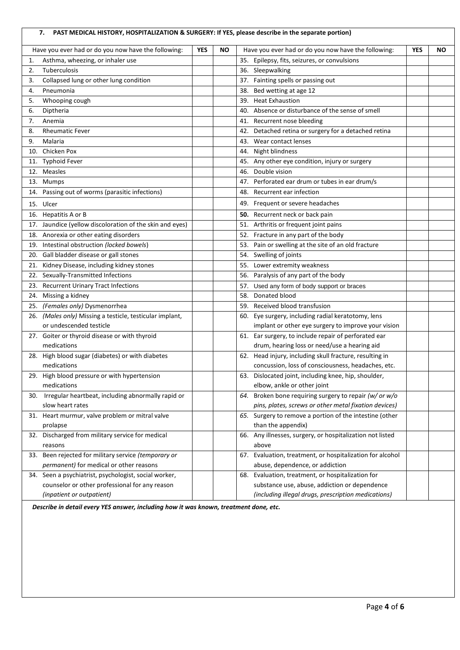### **7. PAST MEDICAL HISTORY, HOSPITALIZATION & SURGERY: If YES, please describe in the separate portion)**

|     | Have you ever had or do you now have the following:      | <b>YES</b> | <b>NO</b> | Have you ever had or do you now have the following:        | <b>YES</b> | <b>NO</b> |
|-----|----------------------------------------------------------|------------|-----------|------------------------------------------------------------|------------|-----------|
| 1.  | Asthma, wheezing, or inhaler use                         |            |           | 35. Epilepsy, fits, seizures, or convulsions               |            |           |
| 2.  | Tuberculosis                                             |            |           | 36. Sleepwalking                                           |            |           |
| 3.  | Collapsed lung or other lung condition                   |            |           | Fainting spells or passing out<br>37.                      |            |           |
| 4.  | Pneumonia                                                |            |           | Bed wetting at age 12<br>38.                               |            |           |
| 5.  | Whooping cough                                           |            |           | <b>Heat Exhaustion</b><br>39.                              |            |           |
| 6.  | Diptheria                                                |            |           | Absence or disturbance of the sense of smell<br>40.        |            |           |
| 7.  | Anemia                                                   |            |           | 41. Recurrent nose bleeding                                |            |           |
| 8.  | <b>Rheumatic Fever</b>                                   |            |           | Detached retina or surgery for a detached retina<br>42.    |            |           |
| 9.  | Malaria                                                  |            |           | Wear contact lenses<br>43.                                 |            |           |
| 10. | Chicken Pox                                              |            |           | Night blindness<br>44.                                     |            |           |
|     | 11. Typhoid Fever                                        |            |           | 45. Any other eye condition, injury or surgery             |            |           |
|     | 12. Measles                                              |            |           | Double vision<br>46.                                       |            |           |
|     | 13. Mumps                                                |            |           | Perforated ear drum or tubes in ear drum/s<br>47.          |            |           |
|     | 14. Passing out of worms (parasitic infections)          |            |           | Recurrent ear infection<br>48.                             |            |           |
|     | 15. Ulcer                                                |            |           | 49. Frequent or severe headaches                           |            |           |
|     | 16. Hepatitis A or B                                     |            |           | 50.<br>Recurrent neck or back pain                         |            |           |
|     | 17. Jaundice (yellow discoloration of the skin and eyes) |            |           | Arthritis or frequent joint pains<br>51.                   |            |           |
|     | 18. Anorexia or other eating disorders                   |            |           | Fracture in any part of the body<br>52.                    |            |           |
|     | 19. Intestinal obstruction (locked bowels)               |            |           | Pain or swelling at the site of an old fracture<br>53.     |            |           |
|     | 20. Gall bladder disease or gall stones                  |            |           | 54. Swelling of joints                                     |            |           |
| 21. | Kidney Disease, including kidney stones                  |            |           | 55.<br>Lower extremity weakness                            |            |           |
|     | 22. Sexually-Transmitted Infections                      |            |           | Paralysis of any part of the body<br>56.                   |            |           |
| 23. | <b>Recurrent Urinary Tract Infections</b>                |            |           | 57.<br>Used any form of body support or braces             |            |           |
|     | 24. Missing a kidney                                     |            |           | Donated blood<br>58.                                       |            |           |
|     | 25. (Females only) Dysmenorrhea                          |            |           | 59. Received blood transfusion                             |            |           |
|     | 26. (Males only) Missing a testicle, testicular implant, |            |           | Eye surgery, including radial keratotomy, lens<br>60.      |            |           |
|     | or undescended testicle                                  |            |           | implant or other eye surgery to improve your vision        |            |           |
|     | 27. Goiter or thyroid disease or with thyroid            |            |           | 61. Ear surgery, to include repair of perforated ear       |            |           |
|     | medications                                              |            |           | drum, hearing loss or need/use a hearing aid               |            |           |
|     | 28. High blood sugar (diabetes) or with diabetes         |            |           | 62. Head injury, including skull fracture, resulting in    |            |           |
|     | medications                                              |            |           | concussion, loss of consciousness, headaches, etc.         |            |           |
|     | 29. High blood pressure or with hypertension             |            |           | 63. Dislocated joint, including knee, hip, shoulder,       |            |           |
|     | medications                                              |            |           | elbow, ankle or other joint                                |            |           |
| 30. | Irregular heartbeat, including abnormally rapid or       |            |           | Broken bone requiring surgery to repair (w/ or w/o<br>64.  |            |           |
|     | slow heart rates                                         |            |           | pins, plates, screws or other metal fixation devices)      |            |           |
|     | 31. Heart murmur, valve problem or mitral valve          |            |           | Surgery to remove a portion of the intestine (other<br>65. |            |           |
|     | prolapse                                                 |            |           | than the appendix)                                         |            |           |
|     | 32. Discharged from military service for medical         |            |           | 66. Any illnesses, surgery, or hospitalization not listed  |            |           |
|     | reasons                                                  |            |           | above                                                      |            |           |
| 33. | Been rejected for military service (temporary or         |            |           | 67. Evaluation, treatment, or hospitalization for alcohol  |            |           |
|     | permanent) for medical or other reasons                  |            |           | abuse, dependence, or addiction                            |            |           |
|     | 34. Seen a psychiatrist, psychologist, social worker,    |            |           | Evaluation, treatment, or hospitalization for<br>68.       |            |           |
|     | counselor or other professional for any reason           |            |           | substance use, abuse, addiction or dependence              |            |           |
|     | (inpatient or outpatient)                                |            |           | (including illegal drugs, prescription medications)        |            |           |

*Describe in detail every YES answer, including how it was known, treatment done, etc.*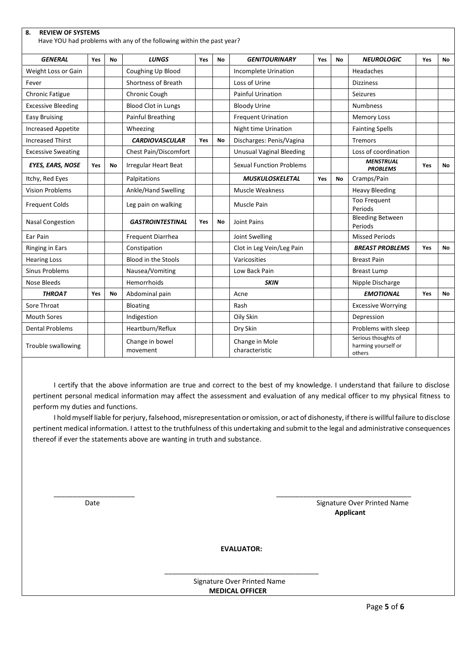| 8.<br><b>REVIEW OF SYSTEMS</b><br>Have YOU had problems with any of the following within the past year? |     |           |                              |     |           |                                  |     |    |                                                      |     |     |
|---------------------------------------------------------------------------------------------------------|-----|-----------|------------------------------|-----|-----------|----------------------------------|-----|----|------------------------------------------------------|-----|-----|
| <b>GENERAL</b>                                                                                          | Yes | <b>No</b> | <b>LUNGS</b>                 | Yes | <b>No</b> | <b>GENITOURINARY</b>             | Yes | No | <b>NEUROLOGIC</b>                                    | Yes | No. |
| Weight Loss or Gain                                                                                     |     |           | Coughing Up Blood            |     |           | <b>Incomplete Urination</b>      |     |    | Headaches                                            |     |     |
| Fever                                                                                                   |     |           | Shortness of Breath          |     |           | Loss of Urine                    |     |    | <b>Dizziness</b>                                     |     |     |
| <b>Chronic Fatigue</b>                                                                                  |     |           | Chronic Cough                |     |           | <b>Painful Urination</b>         |     |    | <b>Seizures</b>                                      |     |     |
| <b>Excessive Bleeding</b>                                                                               |     |           | <b>Blood Clot in Lungs</b>   |     |           | <b>Bloody Urine</b>              |     |    | <b>Numbness</b>                                      |     |     |
| <b>Easy Bruising</b>                                                                                    |     |           | <b>Painful Breathing</b>     |     |           | <b>Frequent Urination</b>        |     |    | <b>Memory Loss</b>                                   |     |     |
| <b>Increased Appetite</b>                                                                               |     |           | Wheezing                     |     |           | Night time Urination             |     |    | <b>Fainting Spells</b>                               |     |     |
| <b>Increased Thirst</b>                                                                                 |     |           | <b>CARDIOVASCULAR</b>        | Yes | No        | Discharges: Penis/Vagina         |     |    | Tremors                                              |     |     |
| <b>Excessive Sweating</b>                                                                               |     |           | <b>Chest Pain/Discomfort</b> |     |           | <b>Unusual Vaginal Bleeding</b>  |     |    | Loss of coordination                                 |     |     |
| <b>EYES, EARS, NOSE</b>                                                                                 | Yes | No        | Irregular Heart Beat         |     |           | <b>Sexual Function Problems</b>  |     |    | <b>MENSTRUAL</b><br><b>PROBLEMS</b>                  | Yes | No. |
| Itchy, Red Eyes                                                                                         |     |           | Palpitations                 |     |           | <b>MUSKULOSKELETAL</b>           | Yes | No | Cramps/Pain                                          |     |     |
| <b>Vision Problems</b>                                                                                  |     |           | Ankle/Hand Swelling          |     |           | <b>Muscle Weakness</b>           |     |    | <b>Heavy Bleeding</b>                                |     |     |
| <b>Frequent Colds</b>                                                                                   |     |           | Leg pain on walking          |     |           | Muscle Pain                      |     |    | <b>Too Frequent</b><br>Periods                       |     |     |
| <b>Nasal Congestion</b>                                                                                 |     |           | <b>GASTROINTESTINAL</b>      | Yes | No        | Joint Pains                      |     |    | <b>Bleeding Between</b><br>Periods                   |     |     |
| Ear Pain                                                                                                |     |           | Frequent Diarrhea            |     |           | Joint Swelling                   |     |    | <b>Missed Periods</b>                                |     |     |
| Ringing in Ears                                                                                         |     |           | Constipation                 |     |           | Clot in Leg Vein/Leg Pain        |     |    | <b>BREAST PROBLEMS</b>                               | Yes | No. |
| <b>Hearing Loss</b>                                                                                     |     |           | <b>Blood in the Stools</b>   |     |           | Varicosities                     |     |    | <b>Breast Pain</b>                                   |     |     |
| <b>Sinus Problems</b>                                                                                   |     |           | Nausea/Vomiting              |     |           | Low Back Pain                    |     |    | <b>Breast Lump</b>                                   |     |     |
| Nose Bleeds                                                                                             |     |           | Hemorrhoids                  |     |           | <b>SKIN</b>                      |     |    | Nipple Discharge                                     |     |     |
| <b>THROAT</b>                                                                                           | Yes | No        | Abdominal pain               |     |           | Acne                             |     |    | <b>EMOTIONAL</b>                                     | Yes | No  |
| Sore Throat                                                                                             |     |           | <b>Bloating</b>              |     |           | Rash                             |     |    | <b>Excessive Worrying</b>                            |     |     |
| <b>Mouth Sores</b>                                                                                      |     |           | Indigestion                  |     |           | Oily Skin                        |     |    | Depression                                           |     |     |
| <b>Dental Problems</b>                                                                                  |     |           | Heartburn/Reflux             |     |           | Dry Skin                         |     |    | Problems with sleep                                  |     |     |
| Trouble swallowing                                                                                      |     |           | Change in bowel<br>movement  |     |           | Change in Mole<br>characteristic |     |    | Serious thoughts of<br>harming yourself or<br>others |     |     |

I certify that the above information are true and correct to the best of my knowledge. I understand that failure to disclose pertinent personal medical information may affect the assessment and evaluation of any medical officer to my physical fitness to perform my duties and functions.

I holdmyself liable for perjury, falsehood, misrepresentation or omission, or act of dishonesty, if there is willful failure to disclose pertinent medical information. I attest to the truthfulness of this undertaking and submit to the legal and administrative consequences thereof if ever the statements above are wanting in truth and substance.

Date **Signature Over Printed Name** Signature Over Printed Name **Applicant Applicant Applicant Applicant** 

**EVALUATOR:**

\_\_\_\_\_\_\_\_\_\_\_\_\_\_\_\_\_\_\_\_\_\_\_\_\_\_\_\_\_\_\_\_\_\_\_\_\_\_\_\_

\_\_\_\_\_\_\_\_\_\_\_\_\_\_\_\_\_\_\_\_\_ \_\_\_\_\_\_\_\_\_\_\_\_\_\_\_\_\_\_\_\_\_\_\_\_\_\_\_\_\_\_\_\_\_\_\_

 Signature Over Printed Name **MEDICAL OFFICER**